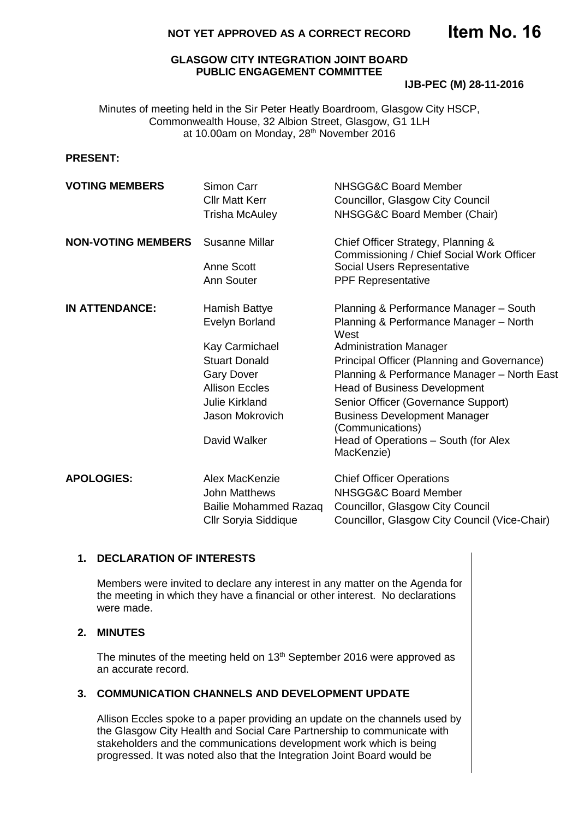# **NOT YET APPROVED AS A CORRECT RECORD**

## **GLASGOW CITY INTEGRATION JOINT BOARD PUBLIC ENGAGEMENT COMMITTEE**

#### **IJB-PEC (M) 28-11-2016**

Minutes of meeting held in the Sir Peter Heatly Boardroom, Glasgow City HSCP, Commonwealth House, 32 Albion Street, Glasgow, G1 1LH at 10.00am on Monday, 28th November 2016

## **PRESENT:**

| <b>VOTING MEMBERS</b>     | Simon Carr<br><b>Cllr Matt Kerr</b><br><b>Trisha McAuley</b>                                                                                                                        | NHSGG&C Board Member<br>Councillor, Glasgow City Council<br>NHSGG&C Board Member (Chair)                                                                                                                                                                                                                                                                                                                               |
|---------------------------|-------------------------------------------------------------------------------------------------------------------------------------------------------------------------------------|------------------------------------------------------------------------------------------------------------------------------------------------------------------------------------------------------------------------------------------------------------------------------------------------------------------------------------------------------------------------------------------------------------------------|
| <b>NON-VOTING MEMBERS</b> | Susanne Millar<br>Anne Scott<br>Ann Souter                                                                                                                                          | Chief Officer Strategy, Planning &<br>Commissioning / Chief Social Work Officer<br>Social Users Representative<br><b>PPF Representative</b>                                                                                                                                                                                                                                                                            |
| <b>IN ATTENDANCE:</b>     | Hamish Battye<br>Evelyn Borland<br>Kay Carmichael<br><b>Stuart Donald</b><br><b>Gary Dover</b><br><b>Allison Eccles</b><br><b>Julie Kirkland</b><br>Jason Mokrovich<br>David Walker | Planning & Performance Manager - South<br>Planning & Performance Manager - North<br>West<br><b>Administration Manager</b><br>Principal Officer (Planning and Governance)<br>Planning & Performance Manager - North East<br><b>Head of Business Development</b><br>Senior Officer (Governance Support)<br><b>Business Development Manager</b><br>(Communications)<br>Head of Operations - South (for Alex<br>MacKenzie) |
| <b>APOLOGIES:</b>         | Alex MacKenzie<br>John Matthews<br><b>Bailie Mohammed Razaq</b><br>Cllr Soryia Siddique                                                                                             | <b>Chief Officer Operations</b><br>NHSGG&C Board Member<br>Councillor, Glasgow City Council<br>Councillor, Glasgow City Council (Vice-Chair)                                                                                                                                                                                                                                                                           |

# **1. DECLARATION OF INTERESTS**

Members were invited to declare any interest in any matter on the Agenda for the meeting in which they have a financial or other interest. No declarations were made.

#### **2. MINUTES**

The minutes of the meeting held on 13<sup>th</sup> September 2016 were approved as an accurate record.

## **3. COMMUNICATION CHANNELS AND DEVELOPMENT UPDATE**

Allison Eccles spoke to a paper providing an update on the channels used by the Glasgow City Health and Social Care Partnership to communicate with stakeholders and the communications development work which is being progressed. It was noted also that the Integration Joint Board would be

**Item No. 16**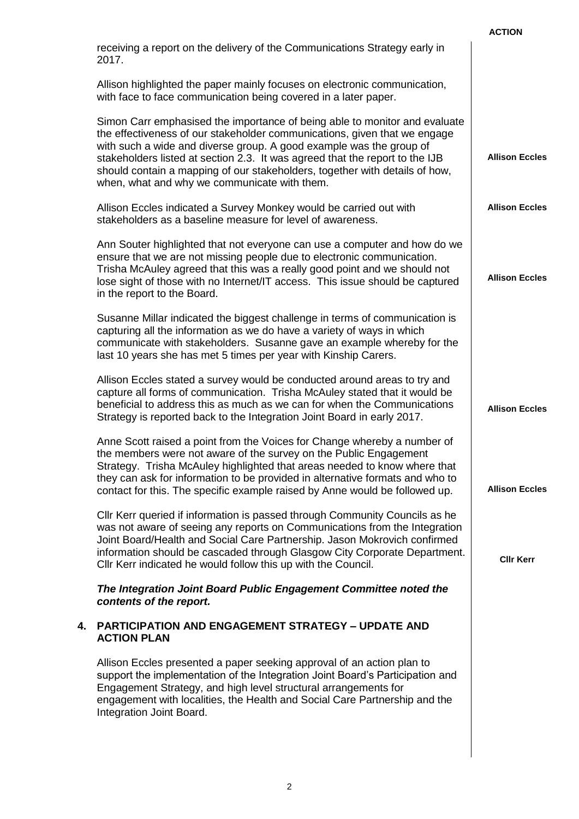|    |                                                                                                                                                                                                                                                                                                                                                                                                                                               | <b>ACTION</b>         |
|----|-----------------------------------------------------------------------------------------------------------------------------------------------------------------------------------------------------------------------------------------------------------------------------------------------------------------------------------------------------------------------------------------------------------------------------------------------|-----------------------|
|    | receiving a report on the delivery of the Communications Strategy early in<br>2017.                                                                                                                                                                                                                                                                                                                                                           |                       |
|    | Allison highlighted the paper mainly focuses on electronic communication,<br>with face to face communication being covered in a later paper.                                                                                                                                                                                                                                                                                                  |                       |
|    | Simon Carr emphasised the importance of being able to monitor and evaluate<br>the effectiveness of our stakeholder communications, given that we engage<br>with such a wide and diverse group. A good example was the group of<br>stakeholders listed at section 2.3. It was agreed that the report to the IJB<br>should contain a mapping of our stakeholders, together with details of how,<br>when, what and why we communicate with them. | <b>Allison Eccles</b> |
|    | Allison Eccles indicated a Survey Monkey would be carried out with<br>stakeholders as a baseline measure for level of awareness.                                                                                                                                                                                                                                                                                                              | <b>Allison Eccles</b> |
|    | Ann Souter highlighted that not everyone can use a computer and how do we<br>ensure that we are not missing people due to electronic communication.<br>Trisha McAuley agreed that this was a really good point and we should not<br>lose sight of those with no Internet/IT access. This issue should be captured<br>in the report to the Board.                                                                                              | <b>Allison Eccles</b> |
|    | Susanne Millar indicated the biggest challenge in terms of communication is<br>capturing all the information as we do have a variety of ways in which<br>communicate with stakeholders. Susanne gave an example whereby for the<br>last 10 years she has met 5 times per year with Kinship Carers.                                                                                                                                            |                       |
|    | Allison Eccles stated a survey would be conducted around areas to try and<br>capture all forms of communication. Trisha McAuley stated that it would be<br>beneficial to address this as much as we can for when the Communications<br>Strategy is reported back to the Integration Joint Board in early 2017.                                                                                                                                | <b>Allison Eccles</b> |
|    | Anne Scott raised a point from the Voices for Change whereby a number of<br>the members were not aware of the survey on the Public Engagement<br>Strategy. Trisha McAuley highlighted that areas needed to know where that<br>they can ask for information to be provided in alternative formats and who to<br>contact for this. The specific example raised by Anne would be followed up.                                                    | <b>Allison Eccles</b> |
|    | Cllr Kerr queried if information is passed through Community Councils as he<br>was not aware of seeing any reports on Communications from the Integration<br>Joint Board/Health and Social Care Partnership. Jason Mokrovich confirmed<br>information should be cascaded through Glasgow City Corporate Department.<br>Cllr Kerr indicated he would follow this up with the Council.                                                          | <b>CIIr Kerr</b>      |
|    | The Integration Joint Board Public Engagement Committee noted the<br>contents of the report.                                                                                                                                                                                                                                                                                                                                                  |                       |
| 4. | <b>PARTICIPATION AND ENGAGEMENT STRATEGY - UPDATE AND</b><br><b>ACTION PLAN</b>                                                                                                                                                                                                                                                                                                                                                               |                       |
|    | Allison Eccles presented a paper seeking approval of an action plan to<br>support the implementation of the Integration Joint Board's Participation and<br>Engagement Strategy, and high level structural arrangements for<br>engagement with localities, the Health and Social Care Partnership and the<br>Integration Joint Board.                                                                                                          |                       |
|    |                                                                                                                                                                                                                                                                                                                                                                                                                                               |                       |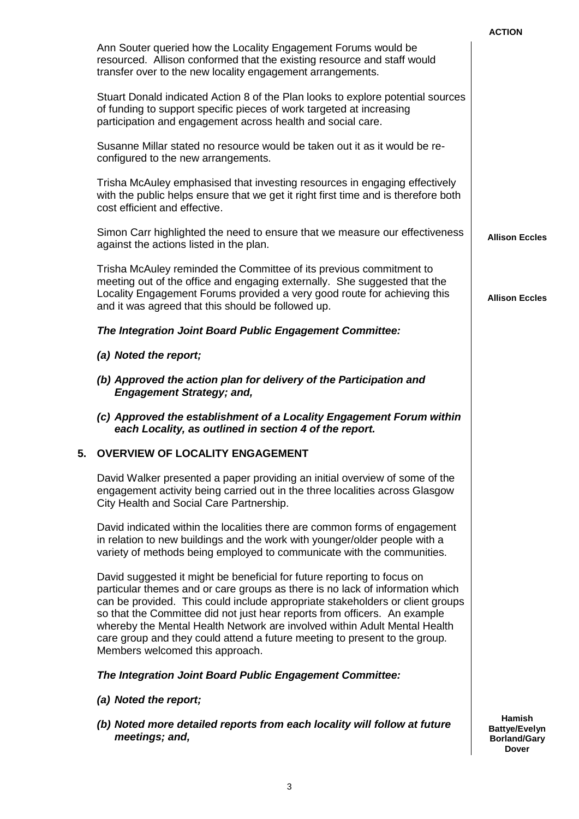|                                                                                                                                                                                                                                                                                                                                                                                                                                                                                                                      | <b>ACTION</b>                                                                |
|----------------------------------------------------------------------------------------------------------------------------------------------------------------------------------------------------------------------------------------------------------------------------------------------------------------------------------------------------------------------------------------------------------------------------------------------------------------------------------------------------------------------|------------------------------------------------------------------------------|
| Ann Souter queried how the Locality Engagement Forums would be<br>resourced. Allison conformed that the existing resource and staff would<br>transfer over to the new locality engagement arrangements.                                                                                                                                                                                                                                                                                                              |                                                                              |
| Stuart Donald indicated Action 8 of the Plan looks to explore potential sources<br>of funding to support specific pieces of work targeted at increasing<br>participation and engagement across health and social care.                                                                                                                                                                                                                                                                                               |                                                                              |
| Susanne Millar stated no resource would be taken out it as it would be re-<br>configured to the new arrangements.                                                                                                                                                                                                                                                                                                                                                                                                    |                                                                              |
| Trisha McAuley emphasised that investing resources in engaging effectively<br>with the public helps ensure that we get it right first time and is therefore both<br>cost efficient and effective.                                                                                                                                                                                                                                                                                                                    |                                                                              |
| Simon Carr highlighted the need to ensure that we measure our effectiveness<br>against the actions listed in the plan.                                                                                                                                                                                                                                                                                                                                                                                               | <b>Allison Eccles</b>                                                        |
| Trisha McAuley reminded the Committee of its previous commitment to<br>meeting out of the office and engaging externally. She suggested that the<br>Locality Engagement Forums provided a very good route for achieving this<br>and it was agreed that this should be followed up.                                                                                                                                                                                                                                   | <b>Allison Eccles</b>                                                        |
| The Integration Joint Board Public Engagement Committee:                                                                                                                                                                                                                                                                                                                                                                                                                                                             |                                                                              |
| (a) Noted the report;                                                                                                                                                                                                                                                                                                                                                                                                                                                                                                |                                                                              |
| (b) Approved the action plan for delivery of the Participation and<br><b>Engagement Strategy; and,</b>                                                                                                                                                                                                                                                                                                                                                                                                               |                                                                              |
| (c) Approved the establishment of a Locality Engagement Forum within<br>each Locality, as outlined in section 4 of the report.                                                                                                                                                                                                                                                                                                                                                                                       |                                                                              |
| 5. OVERVIEW OF LOCALITY ENGAGEMENT                                                                                                                                                                                                                                                                                                                                                                                                                                                                                   |                                                                              |
| David Walker presented a paper providing an initial overview of some of the<br>engagement activity being carried out in the three localities across Glasgow<br>City Health and Social Care Partnership.                                                                                                                                                                                                                                                                                                              |                                                                              |
| David indicated within the localities there are common forms of engagement<br>in relation to new buildings and the work with younger/older people with a<br>variety of methods being employed to communicate with the communities.                                                                                                                                                                                                                                                                                   |                                                                              |
| David suggested it might be beneficial for future reporting to focus on<br>particular themes and or care groups as there is no lack of information which<br>can be provided. This could include appropriate stakeholders or client groups<br>so that the Committee did not just hear reports from officers. An example<br>whereby the Mental Health Network are involved within Adult Mental Health<br>care group and they could attend a future meeting to present to the group.<br>Members welcomed this approach. |                                                                              |
| The Integration Joint Board Public Engagement Committee:                                                                                                                                                                                                                                                                                                                                                                                                                                                             |                                                                              |
| (a) Noted the report;                                                                                                                                                                                                                                                                                                                                                                                                                                                                                                |                                                                              |
| (b) Noted more detailed reports from each locality will follow at future<br>meetings; and,                                                                                                                                                                                                                                                                                                                                                                                                                           | <b>Hamish</b><br><b>Battye/Evelyn</b><br><b>Borland/Gary</b><br><b>Dover</b> |
|                                                                                                                                                                                                                                                                                                                                                                                                                                                                                                                      |                                                                              |